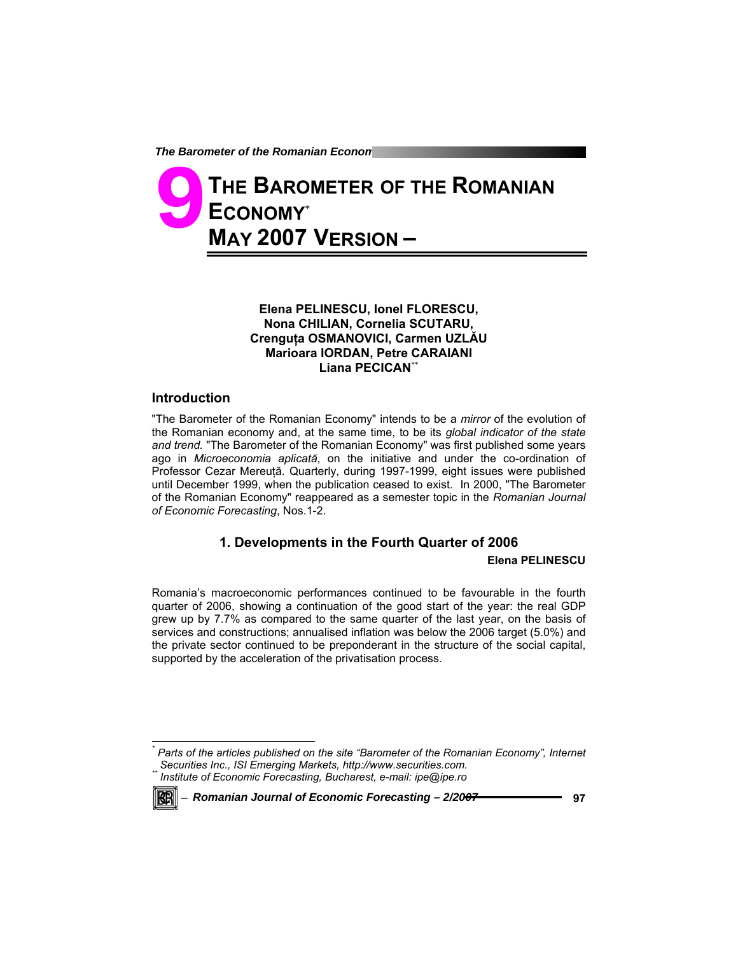**The Barometer of the Romanian Econon** 

# **THE BAROMETER OF THE ROMANIAN ECONOMY**\* **MAY 2007 VERSION – 9**

## **Elena PELINESCU, Ionel FLORESCU, Nona CHILIAN, Cornelia SCUTARU, Crenguţa OSMANOVICI, Carmen UZLĂU Marioara IORDAN, Petre CARAIANI Liana PECICAN**\*\*

## **Introduction**

"The Barometer of the Romanian Economy" intends to be a *mirror* of the evolution of the Romanian economy and, at the same time, to be its *global indicator of the state and trend.* "The Barometer of the Romanian Economy" was first published some years ago in *Microeconomia aplicată*, on the initiative and under the co-ordination of Professor Cezar Mereuţă. Quarterly, during 1997-1999, eight issues were published until December 1999, when the publication ceased to exist. In 2000, "The Barometer of the Romanian Economy" reappeared as a semester topic in the *Romanian Journal of Economic Forecasting*, Nos.1-2.

# **1. Developments in the Fourth Quarter of 2006**

#### **Elena PELINESCU**

Romania's macroeconomic performances continued to be favourable in the fourth quarter of 2006, showing a continuation of the good start of the year: the real GDP grew up by 7.7% as compared to the same quarter of the last year, on the basis of services and constructions; annualised inflation was below the 2006 target (5.0%) and the private sector continued to be preponderant in the structure of the social capital, supported by the acceleration of the privatisation process.

*\* Parts of the articles published on the site "Barometer of the Romanian Economy", Internet Institute of Economic Forecasting, Bucharest, e-mail: ipe@ipe.ro* 



l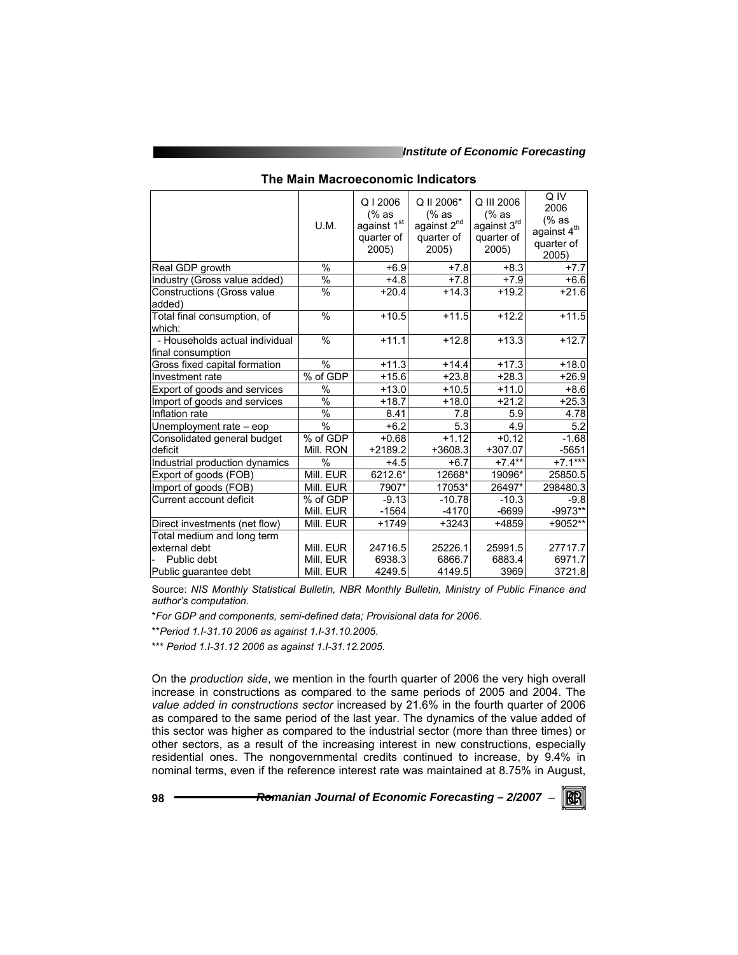|                                                     | U.M.          | Q12006<br>(% as<br>against 1st<br>quarter of<br>2005) | Q II 2006*<br>(% as<br>against 2 <sup>nd</sup><br>quarter of<br>2005 | Q III 2006<br>$%$ as<br>against 3rd<br>quarter of<br>2005) | Q IV<br>2006<br>$%$ as<br>against $4^{\text{th}}$<br>quarter of<br>2005) |
|-----------------------------------------------------|---------------|-------------------------------------------------------|----------------------------------------------------------------------|------------------------------------------------------------|--------------------------------------------------------------------------|
| Real GDP growth                                     | $\%$          | $+6.9$                                                | $+7.8$                                                               | $+8.3$                                                     | $+7.7$                                                                   |
| Industry (Gross value added)                        | $\%$          | $+4.8$                                                | $+7.8$                                                               | $+7.9$                                                     | $+6.6$                                                                   |
| <b>Constructions (Gross value</b><br>added)         | %             | $+20.4$                                               | $+14.3$                                                              | $+19.2$                                                    | $+21.6$                                                                  |
| Total final consumption, of<br>which:               | %             | $+10.5$                                               | $+11.5$                                                              | $+12.2$                                                    | $+11.5$                                                                  |
| - Households actual individual<br>final consumption | $\frac{0}{0}$ | $+11.1$                                               | $+12.8$                                                              | $+13.3$                                                    | $+12.7$                                                                  |
| Gross fixed capital formation                       | $\frac{0}{0}$ | $+11.3$                                               | $+14.4$                                                              | $+17.3$                                                    | $+18.0$                                                                  |
| Investment rate                                     | % of GDP      | $+15.6$                                               | $+23.8$                                                              | $+28.3$                                                    | $+26.9$                                                                  |
| Export of goods and services                        | %             | $+13.0$                                               | $+10.5$                                                              | $+11.0$                                                    | $+8.6$                                                                   |
| Import of goods and services                        | $\frac{0}{0}$ | $+18.7$                                               | $+18.0$                                                              | $+21.2$                                                    | $+25.3$                                                                  |
| Inflation rate                                      | $\%$          | 8.41                                                  | 7.8                                                                  | 5.9                                                        | 4.78                                                                     |
| Unemployment rate - eop                             | $\frac{0}{0}$ | $+6.2$                                                | 5.3                                                                  | 4.9                                                        | 5.2                                                                      |
| Consolidated general budget                         | % of GDP      | $+0.68$                                               | $\overline{+}$ 1.12                                                  | $\overline{+}$ 0.12                                        | $-1.68$                                                                  |
| deficit                                             | Mill. RON     | $+2189.2$                                             | +3608.3                                                              | $+307.07$                                                  | $-5651$                                                                  |
| Industrial production dynamics                      | $\%$          | $+4.5$                                                | $+6.7$                                                               | $+7.4**$                                                   | $+7.1***$                                                                |
| Export of goods (FOB)                               | Mill. EUR     | 6212.6*                                               | 12668*                                                               | 19096*                                                     | 25850.5                                                                  |
| Import of goods (FOB)                               | Mill. EUR     | 7907*                                                 | 17053*                                                               | 26497*                                                     | 298480.3                                                                 |
| Current account deficit                             | % of GDP      | $-9.13$                                               | $-10.78$                                                             | $-10.3$                                                    | $-9.8$                                                                   |
|                                                     | Mill. EUR     | $-1564$                                               | $-4170$                                                              | $-6699$                                                    | -9973**                                                                  |
| Direct investments (net flow)                       | Mill. EUR     | $+1749$                                               | $+3243$                                                              | +4859                                                      | +9052**                                                                  |
| Total medium and long term                          |               |                                                       |                                                                      |                                                            |                                                                          |
| external debt                                       | Mill. EUR     | 24716.5                                               | 25226.1                                                              | 25991.5                                                    | 27717.7                                                                  |
| Public debt                                         | Mill. EUR     | 6938.3                                                | 6866.7                                                               | 6883.4                                                     | 6971.7                                                                   |
| Public quarantee debt                               | Mill. EUR     | 4249.5                                                | 4149.5                                                               | 3969                                                       | 3721.8                                                                   |

#### **The Main Macroeconomic Indicators**

Source: *NIS Monthly Statistical Bulletin, NBR Monthly Bulletin, Ministry of Public Finance and author's computation.* 

\**For GDP and components, semi-defined data; Provisional data for 2006*.

\*\**Period 1.I-31.10 2006 as against 1.I-31.10.2005*.

\*\*\* *Period 1.I-31.12 2006 as against 1.I-31.12.2005*.

On the *production side*, we mention in the fourth quarter of 2006 the very high overall increase in constructions as compared to the same periods of 2005 and 2004. The *value added in constructions sector* increased by 21.6% in the fourth quarter of 2006 as compared to the same period of the last year. The dynamics of the value added of this sector was higher as compared to the industrial sector (more than three times) or other sectors, as a result of the increasing interest in new constructions, especially residential ones. The nongovernmental credits continued to increase, by 9.4% in nominal terms, even if the reference interest rate was maintained at 8.75% in August,

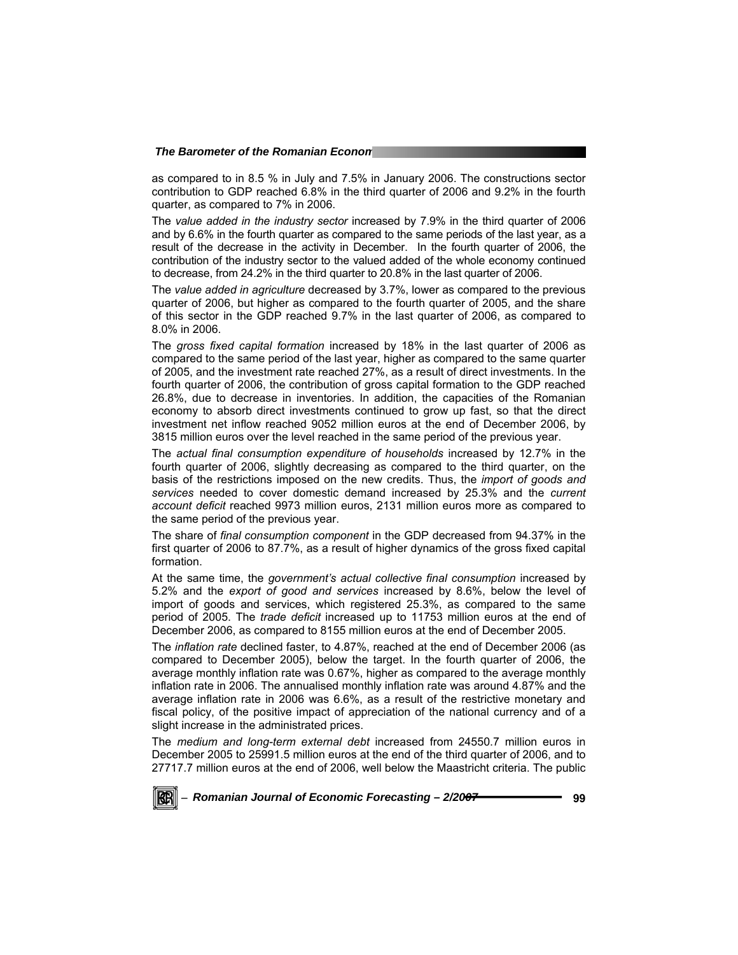as compared to in 8.5 % in July and 7.5% in January 2006. The constructions sector contribution to GDP reached 6.8% in the third quarter of 2006 and 9.2% in the fourth quarter, as compared to 7% in 2006.

The *value added in the industry sector* increased by 7.9% in the third quarter of 2006 and by 6.6% in the fourth quarter as compared to the same periods of the last year, as a result of the decrease in the activity in December. In the fourth quarter of 2006, the contribution of the industry sector to the valued added of the whole economy continued to decrease, from 24.2% in the third quarter to 20.8% in the last quarter of 2006.

The *value added in agriculture* decreased by 3.7%, lower as compared to the previous quarter of 2006, but higher as compared to the fourth quarter of 2005, and the share of this sector in the GDP reached 9.7% in the last quarter of 2006, as compared to 8.0% in 2006.

The *gross fixed capital formation* increased by 18% in the last quarter of 2006 as compared to the same period of the last year, higher as compared to the same quarter of 2005, and the investment rate reached 27%, as a result of direct investments. In the fourth quarter of 2006, the contribution of gross capital formation to the GDP reached 26.8%, due to decrease in inventories. In addition, the capacities of the Romanian economy to absorb direct investments continued to grow up fast, so that the direct investment net inflow reached 9052 million euros at the end of December 2006, by 3815 million euros over the level reached in the same period of the previous year.

The *actual final consumption expenditure of households* increased by 12.7% in the fourth quarter of 2006, slightly decreasing as compared to the third quarter, on the basis of the restrictions imposed on the new credits. Thus, the *import of goods and services* needed to cover domestic demand increased by 25.3% and the *current account deficit* reached 9973 million euros, 2131 million euros more as compared to the same period of the previous year.

The share of *final consumption component* in the GDP decreased from 94.37% in the first quarter of 2006 to 87.7%, as a result of higher dynamics of the gross fixed capital formation.

At the same time, the *government's actual collective final consumption* increased by 5.2% and the *export of good and services* increased by 8.6%, below the level of import of goods and services, which registered 25.3%, as compared to the same period of 2005. The *trade deficit* increased up to 11753 million euros at the end of December 2006, as compared to 8155 million euros at the end of December 2005.

The *inflation rate* declined faster, to 4.87%, reached at the end of December 2006 (as compared to December 2005), below the target. In the fourth quarter of 2006, the average monthly inflation rate was 0.67%, higher as compared to the average monthly inflation rate in 2006. The annualised monthly inflation rate was around 4.87% and the average inflation rate in 2006 was 6.6%, as a result of the restrictive monetary and fiscal policy, of the positive impact of appreciation of the national currency and of a slight increase in the administrated prices.

The *medium and long-term external debt* increased from 24550.7 million euros in December 2005 to 25991.5 million euros at the end of the third quarter of 2006, and to 27717.7 million euros at the end of 2006, well below the Maastricht criteria. The public

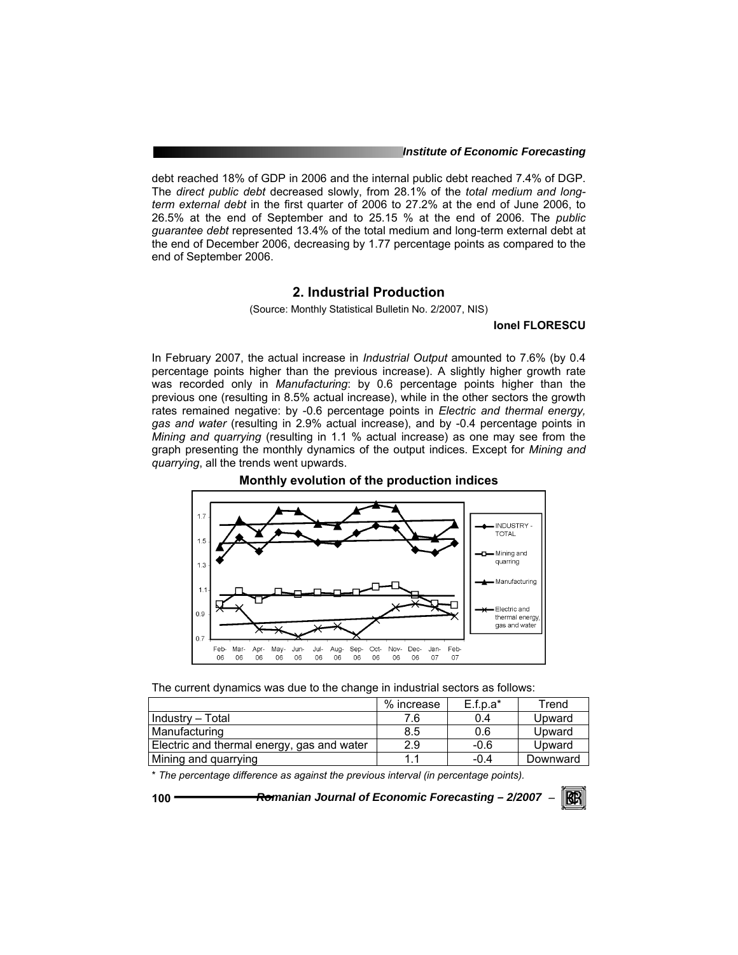*Institute of Economic Forecasting*

debt reached 18% of GDP in 2006 and the internal public debt reached 7.4% of DGP. The *direct public debt* decreased slowly, from 28.1% of the *total medium and longterm external debt* in the first quarter of 2006 to 27.2% at the end of June 2006, to 26.5% at the end of September and to 25.15 % at the end of 2006. The *public guarantee debt* represented 13.4% of the total medium and long-term external debt at the end of December 2006, decreasing by 1.77 percentage points as compared to the end of September 2006.

# **2. Industrial Production**

(Source: Monthly Statistical Bulletin No. 2/2007, NIS)

## **Ionel FLORESCU**

In February 2007, the actual increase in *Industrial Output* amounted to 7.6% (by 0.4 percentage points higher than the previous increase). A slightly higher growth rate was recorded only in *Manufacturing*: by 0.6 percentage points higher than the previous one (resulting in 8.5% actual increase), while in the other sectors the growth rates remained negative: by -0.6 percentage points in *Electric and thermal energy, gas and water* (resulting in 2.9% actual increase), and by -0.4 percentage points in *Mining and quarrying* (resulting in 1.1 % actual increase) as one may see from the graph presenting the monthly dynamics of the output indices. Except for *Mining and quarrying*, all the trends went upwards.



**Monthly evolution of the production indices** 

The current dynamics was due to the change in industrial sectors as follows:

|                                            | % increase | $E.f.p.a*$ | Trend    |
|--------------------------------------------|------------|------------|----------|
| Industry - Total                           | 7.6        | 0.4        | Upward   |
| Manufacturing                              | 8.5        | 0.6        | Upward   |
| Electric and thermal energy, gas and water | 2.9        | $-0.6$     | Upward   |
| Mining and quarrying                       |            | $-0.4$     | Downward |

\* *The percentage difference as against the previous interval (in percentage points).*

**100** *Romanian Journal of Economic Forecasting – 2/2007* <sup>−</sup>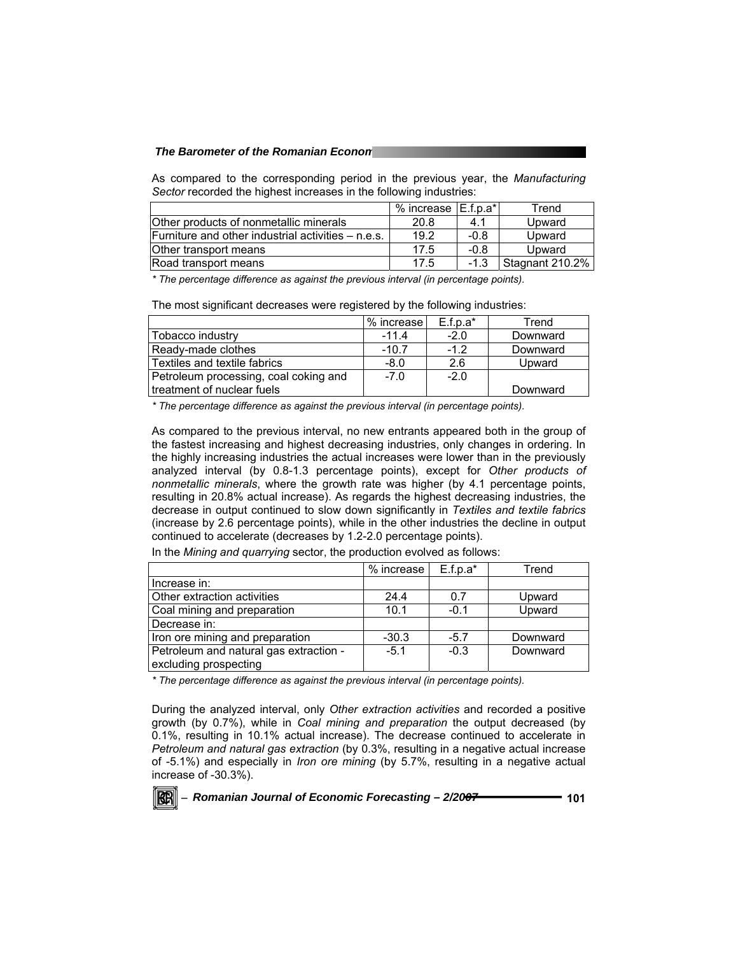#### *The Barometer of the Romanian Econom*

As compared to the corresponding period in the previous year, the *Manufacturing Sector* recorded the highest increases in the following industries:

|                                                    | % increase IE.f.p.a*I |        | Trend           |
|----------------------------------------------------|-----------------------|--------|-----------------|
| Other products of nonmetallic minerals             | 20.8                  | 4.1    | Upward          |
| Furniture and other industrial activities – n.e.s. | 19.2                  | -0.8   | Upward          |
| Other transport means                              | 17.5                  | $-0.8$ | Upward          |
| Road transport means                               | 17.5                  | $-1.3$ | Stagnant 210.2% |

*\* The percentage difference as against the previous interval (in percentage points).* 

The most significant decreases were registered by the following industries:

|                                       | % increase | $E.f.p.a*$ | Trend    |
|---------------------------------------|------------|------------|----------|
| Tobacco industry                      | $-11.4$    | $-2.0$     | Downward |
| Ready-made clothes                    | $-10.7$    | $-12$      | Downward |
| Textiles and textile fabrics          | $-8.0$     | 2.6        | Upward   |
| Petroleum processing, coal coking and | $-7.0$     | $-2.0$     |          |
| treatment of nuclear fuels            |            |            | Downward |

*\* The percentage difference as against the previous interval (in percentage points).* 

As compared to the previous interval, no new entrants appeared both in the group of the fastest increasing and highest decreasing industries, only changes in ordering. In the highly increasing industries the actual increases were lower than in the previously analyzed interval (by 0.8-1.3 percentage points), except for *Other products of nonmetallic minerals*, where the growth rate was higher (by 4.1 percentage points, resulting in 20.8% actual increase). As regards the highest decreasing industries, the decrease in output continued to slow down significantly in *Textiles and textile fabrics* (increase by 2.6 percentage points), while in the other industries the decline in output continued to accelerate (decreases by 1.2-2.0 percentage points).

|                                                                 | % increase | E.f.p.a* | Trend    |
|-----------------------------------------------------------------|------------|----------|----------|
| Increase in:                                                    |            |          |          |
| Other extraction activities                                     | 24.4       | 0.7      | Upward   |
| Coal mining and preparation                                     | 10.1       | $-0.1$   | Upward   |
| Decrease in:                                                    |            |          |          |
| Iron ore mining and preparation                                 | $-30.3$    | $-5.7$   | Downward |
| Petroleum and natural gas extraction -<br>excluding prospecting | $-5.1$     | $-0.3$   | Downward |

In the *Mining and quarrying* sector, the production evolved as follows:

*\* The percentage difference as against the previous interval (in percentage points).* 

During the analyzed interval, only *Other extraction activities* and recorded a positive growth (by 0.7%), while in *Coal mining and preparation* the output decreased (by 0.1%, resulting in 10.1% actual increase). The decrease continued to accelerate in *Petroleum and natural gas extraction* (by 0.3%, resulting in a negative actual increase of -5.1%) and especially in *Iron ore mining* (by 5.7%, resulting in a negative actual increase of -30.3%).

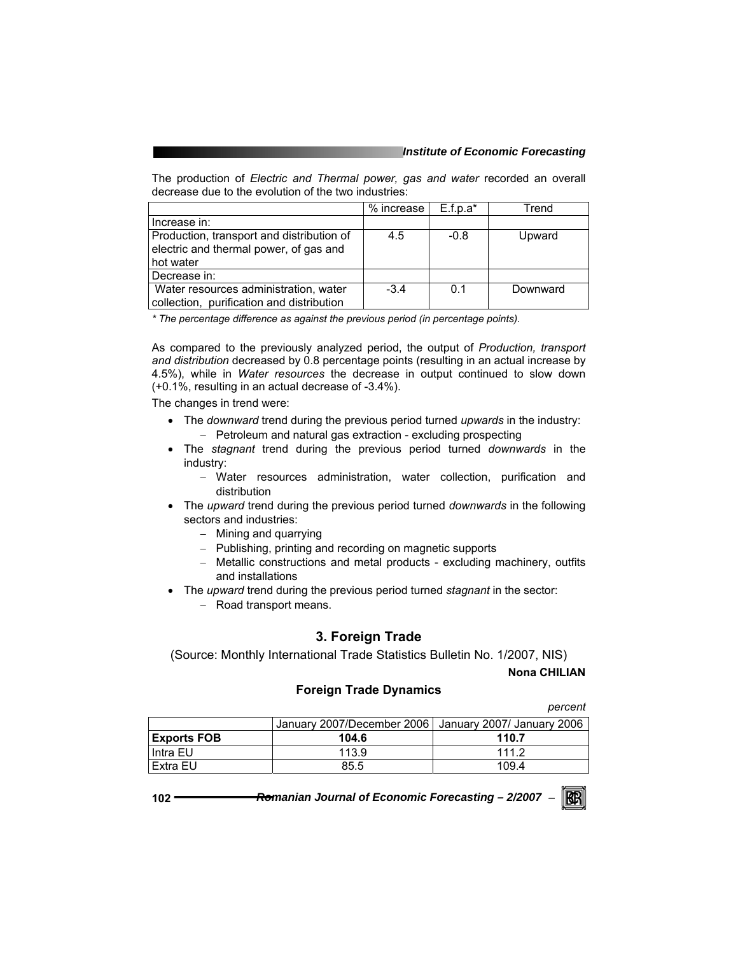The production of *Electric and Thermal power, gas and water* recorded an overall decrease due to the evolution of the two industries:

|                                                                                                  | % increase | $E.f.p.a*$ | Trend    |
|--------------------------------------------------------------------------------------------------|------------|------------|----------|
| Increase in:                                                                                     |            |            |          |
| Production, transport and distribution of<br>electric and thermal power, of gas and<br>hot water | 4.5        | $-0.8$     | Upward   |
| Decrease in:                                                                                     |            |            |          |
| Water resources administration, water<br>collection, purification and distribution               | $-3.4$     | 0.1        | Downward |

*\* The percentage difference as against the previous period (in percentage points).* 

As compared to the previously analyzed period, the output of *Production, transport and distribution* decreased by 0.8 percentage points (resulting in an actual increase by 4.5%), while in *Water resources* the decrease in output continued to slow down (+0.1%, resulting in an actual decrease of -3.4%).

The changes in trend were:

- The *downward* trend during the previous period turned *upwards* in the industry: − Petroleum and natural gas extraction - excluding prospecting
- The *stagnant* trend during the previous period turned *downwards* in the industry:
	- − Water resources administration, water collection, purification and distribution
- The *upward* trend during the previous period turned *downwards* in the following sectors and industries:
	- − Mining and quarrying
	- − Publishing, printing and recording on magnetic supports
	- − Metallic constructions and metal products excluding machinery, outfits and installations
- The *upward* trend during the previous period turned *stagnant* in the sector:
	- − Road transport means.

## **3. Foreign Trade**

(Source: Monthly International Trade Statistics Bulletin No. 1/2007, NIS)

**Nona CHILIAN** 

## **Foreign Trade Dynamics**

*percent* 

|                    |                                                         | ~~~~~~ |
|--------------------|---------------------------------------------------------|--------|
|                    | January 2007/December 2006   January 2007/ January 2006 |        |
| <b>Exports FOB</b> | 104.6                                                   | 110.7  |
| Intra EU           | 113.9                                                   | 1112   |
| Extra EU           | 85.5                                                    | 109.4  |

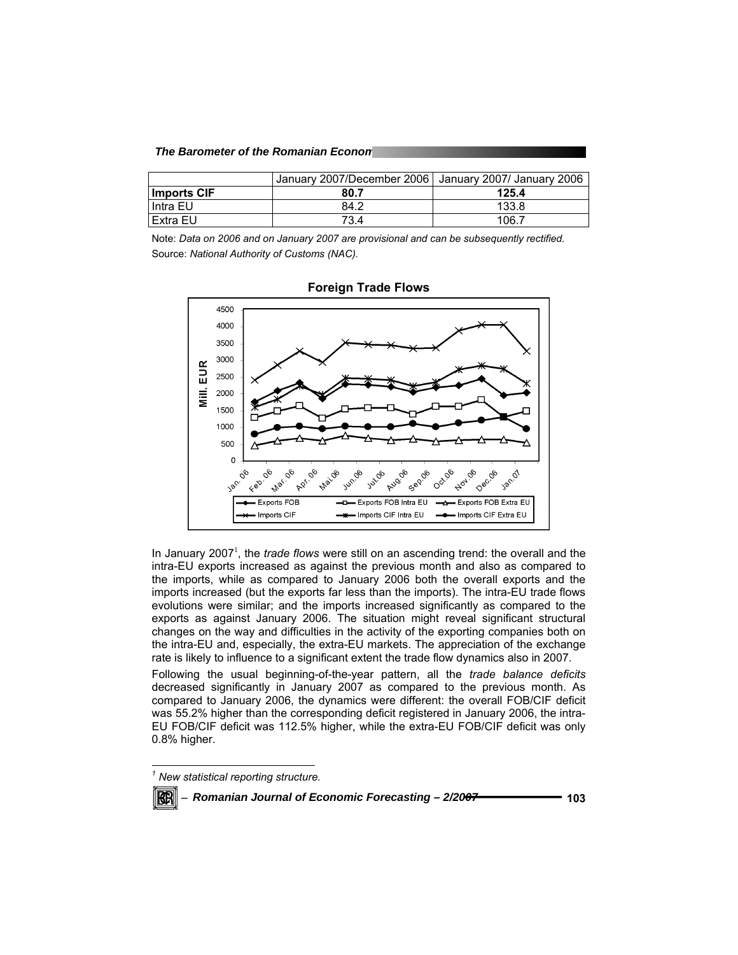#### *The Barometer of the Romanian Econom*

|                    | January 2007/December 2006   January 2007/ January 2006 |       |
|--------------------|---------------------------------------------------------|-------|
| <b>Imports CIF</b> | 80.7                                                    | 125.4 |
| l Intra EU         | 84.2                                                    | 133.8 |
| l Extra EU         | 73.4                                                    | 106.7 |

Note: *Data on 2006 and on January 2007 are provisional and can be subsequently rectified.*  Source: *National Authority of Customs (NAC).* 



#### **Foreign Trade Flows**

In January 2007<sup>1</sup>, the *trade flows* were still on an ascending trend: the overall and the intra-EU exports increased as against the previous month and also as compared to the imports, while as compared to January 2006 both the overall exports and the imports increased (but the exports far less than the imports). The intra-EU trade flows evolutions were similar; and the imports increased significantly as compared to the exports as against January 2006. The situation might reveal significant structural changes on the way and difficulties in the activity of the exporting companies both on the intra-EU and, especially, the extra-EU markets. The appreciation of the exchange rate is likely to influence to a significant extent the trade flow dynamics also in 2007.

Following the usual beginning-of-the-year pattern, all the *trade balance deficits* decreased significantly in January 2007 as compared to the previous month. As compared to January 2006, the dynamics were different: the overall FOB/CIF deficit was 55.2% higher than the corresponding deficit registered in January 2006, the intra-EU FOB/CIF deficit was 112.5% higher, while the extra-EU FOB/CIF deficit was only 0.8% higher.

*<sup>1</sup> New statistical reporting structure.* 



l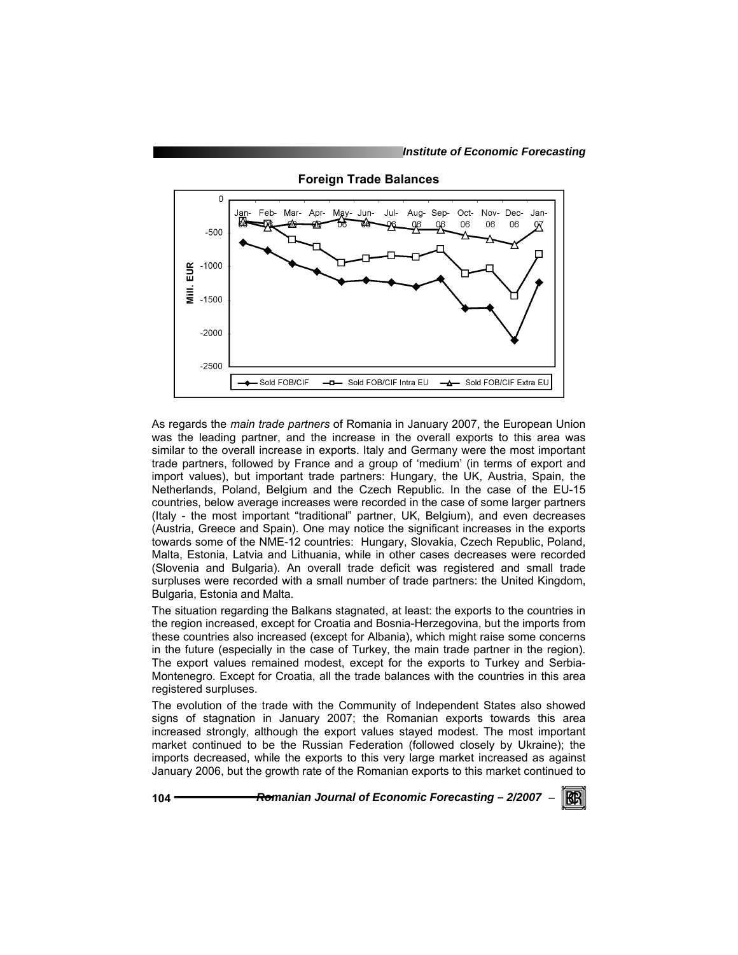

**Foreign Trade Balances** 

As regards the *main trade partners* of Romania in January 2007, the European Union was the leading partner, and the increase in the overall exports to this area was similar to the overall increase in exports. Italy and Germany were the most important trade partners, followed by France and a group of 'medium' (in terms of export and import values), but important trade partners: Hungary, the UK, Austria, Spain, the Netherlands, Poland, Belgium and the Czech Republic. In the case of the EU-15 countries, below average increases were recorded in the case of some larger partners (Italy - the most important "traditional" partner, UK, Belgium), and even decreases (Austria, Greece and Spain). One may notice the significant increases in the exports towards some of the NME-12 countries: Hungary, Slovakia, Czech Republic, Poland, Malta, Estonia, Latvia and Lithuania, while in other cases decreases were recorded (Slovenia and Bulgaria). An overall trade deficit was registered and small trade surpluses were recorded with a small number of trade partners: the United Kingdom, Bulgaria, Estonia and Malta.

The situation regarding the Balkans stagnated, at least: the exports to the countries in the region increased, except for Croatia and Bosnia-Herzegovina, but the imports from these countries also increased (except for Albania), which might raise some concerns in the future (especially in the case of Turkey, the main trade partner in the region). The export values remained modest, except for the exports to Turkey and Serbia-Montenegro. Except for Croatia, all the trade balances with the countries in this area registered surpluses.

The evolution of the trade with the Community of Independent States also showed signs of stagnation in January 2007; the Romanian exports towards this area increased strongly, although the export values stayed modest. The most important market continued to be the Russian Federation (followed closely by Ukraine); the imports decreased, while the exports to this very large market increased as against January 2006, but the growth rate of the Romanian exports to this market continued to

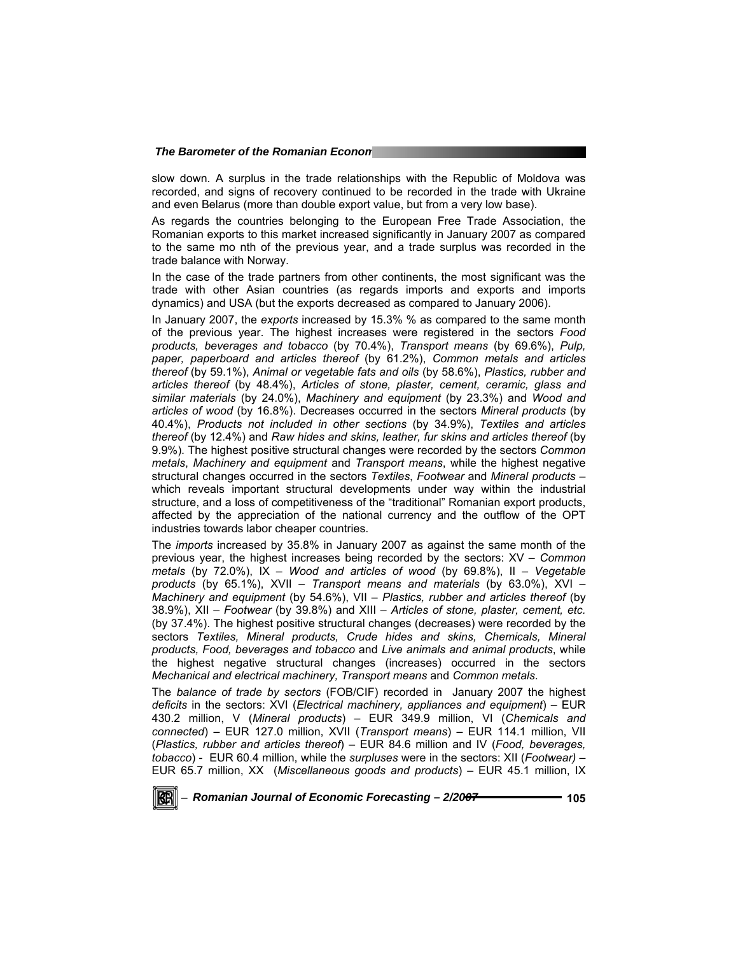slow down. A surplus in the trade relationships with the Republic of Moldova was recorded, and signs of recovery continued to be recorded in the trade with Ukraine and even Belarus (more than double export value, but from a very low base).

As regards the countries belonging to the European Free Trade Association, the Romanian exports to this market increased significantly in January 2007 as compared to the same mo nth of the previous year, and a trade surplus was recorded in the trade balance with Norway.

In the case of the trade partners from other continents, the most significant was the trade with other Asian countries (as regards imports and exports and imports dynamics) and USA (but the exports decreased as compared to January 2006).

In January 2007, the *exports* increased by 15.3% % as compared to the same month of the previous year. The highest increases were registered in the sectors *Food products, beverages and tobacco* (by 70.4%), *Transport means* (by 69.6%), *Pulp, paper, paperboard and articles thereof* (by 61.2%), *Common metals and articles thereof* (by 59.1%), *Animal or vegetable fats and oils* (by 58.6%), *Plastics, rubber and articles thereof* (by 48.4%), *Articles of stone, plaster, cement, ceramic, glass and similar materials* (by 24.0%), *Machinery and equipment* (by 23.3%) and *Wood and articles of wood* (by 16.8%). Decreases occurred in the sectors *Mineral products* (by 40.4%), *Products not included in other sections* (by 34.9%), *Textiles and articles thereof* (by 12.4%) and *Raw hides and skins, leather, fur skins and articles thereof* (by 9.9%). The highest positive structural changes were recorded by the sectors *Common metals*, *Machinery and equipment* and *Transport means*, while the highest negative structural changes occurred in the sectors *Textiles*, *Footwear* and *Mineral products* – which reveals important structural developments under way within the industrial structure, and a loss of competitiveness of the "traditional" Romanian export products, affected by the appreciation of the national currency and the outflow of the OPT industries towards labor cheaper countries.

The *imports* increased by 35.8% in January 2007 as against the same month of the previous year, the highest increases being recorded by the sectors: XV – *Common metals* (by 72.0%), IX – *Wood and articles of wood* (by 69.8%), II – *Vegetable products* (by 65.1%), XVII – *Transport means and materials* (by 63.0%), XVI – *Machinery and equipment* (by 54.6%), VII – *Plastics, rubber and articles thereof* (by 38.9%), XII – *Footwear* (by 39.8%) and XIII – *Articles of stone, plaster, cement, etc.*  (by 37.4%). The highest positive structural changes (decreases) were recorded by the sectors *Textiles, Mineral products, Crude hides and skins, Chemicals, Mineral products, Food, beverages and tobacco* and *Live animals and animal products*, while the highest negative structural changes (increases) occurred in the sectors *Mechanical and electrical machinery, Transport means* and *Common metals*.

The *balance of trade by sectors* (FOB/CIF) recorded in January 2007 the highest *deficits* in the sectors: XVI (*Electrical machinery, appliances and equipment*) – EUR 430.2 million, V (*Mineral products*) – EUR 349.9 million, VI (*Chemicals and connected*) – EUR 127.0 million, XVII (*Transport means*) – EUR 114.1 million, VII (*Plastics, rubber and articles thereof*) – EUR 84.6 million and IV (*Food, beverages, tobacco*) - EUR 60.4 million, while the *surpluses* were in the sectors: XII (*Footwear) –* EUR 65.7 million, XX (*Miscellaneous goods and products*) – EUR 45.1 million, IX

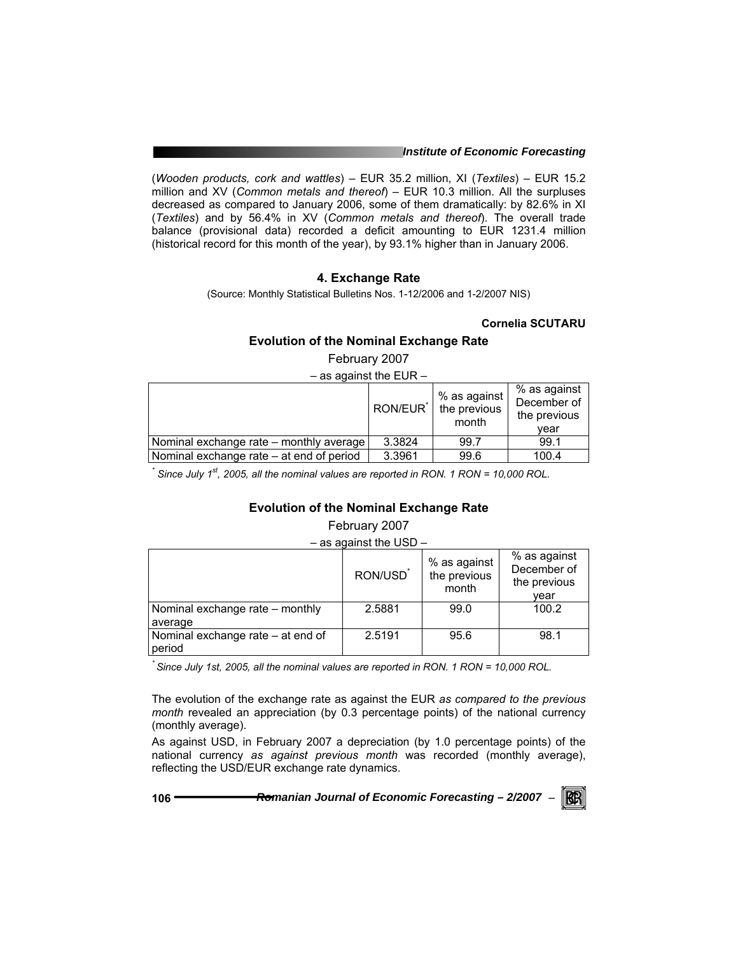#### *Institute of Economic Forecasting*

(*Wooden products, cork and wattles*) – EUR 35.2 million, XI (*Textiles*) – EUR 15.2 million and XV (*Common metals and thereof*) – EUR 10.3 million. All the surpluses decreased as compared to January 2006, some of them dramatically: by 82.6% in XI (*Textiles*) and by 56.4% in XV (*Common metals and thereof*). The overall trade balance (provisional data) recorded a deficit amounting to EUR 1231.4 million (historical record for this month of the year), by 93.1% higher than in January 2006.

## **4. Exchange Rate**

(Source: Monthly Statistical Bulletins Nos. 1-12/2006 and 1-2/2007 NIS)

## **Cornelia SCUTARU**

## **Evolution of the Nominal Exchange Rate**

February 2007

 $-$  as against the EUR  $-$ 

|                                          | RON/EUR <sup>*</sup> | % as against<br>the previous<br>month | % as against<br>December of<br>the previous<br>vear |
|------------------------------------------|----------------------|---------------------------------------|-----------------------------------------------------|
| Nominal exchange rate - monthly average  | 3.3824               | 99.7                                  | 99.1                                                |
| Nominal exchange rate – at end of period | 3.3961               | 99.6                                  | 100.4                                               |

<sup>\*</sup> Since July 1<sup>st</sup>, 2005, all the nominal values are reported in RON. 1 RON = 10,000 ROL.

## **Evolution of the Nominal Exchange Rate**

## February 2007

– as against the USD –

|                                   | RON/USD | % as against<br>the previous<br>month | % as against<br>December of<br>the previous<br>vear |
|-----------------------------------|---------|---------------------------------------|-----------------------------------------------------|
| Nominal exchange rate - monthly   | 2.5881  | 99.0                                  | 100.2                                               |
| average                           |         |                                       |                                                     |
| Nominal exchange rate – at end of | 2.5191  | 95.6                                  | 98.1                                                |
| period                            |         |                                       |                                                     |

*\* Since July 1st, 2005, all the nominal values are reported in RON. 1 RON = 10,000 ROL.* 

The evolution of the exchange rate as against the EUR *as compared to the previous month* revealed an appreciation (by 0.3 percentage points) of the national currency (monthly average).

As against USD, in February 2007 a depreciation (by 1.0 percentage points) of the national currency *as against previous month* was recorded (monthly average), reflecting the USD/EUR exchange rate dynamics.

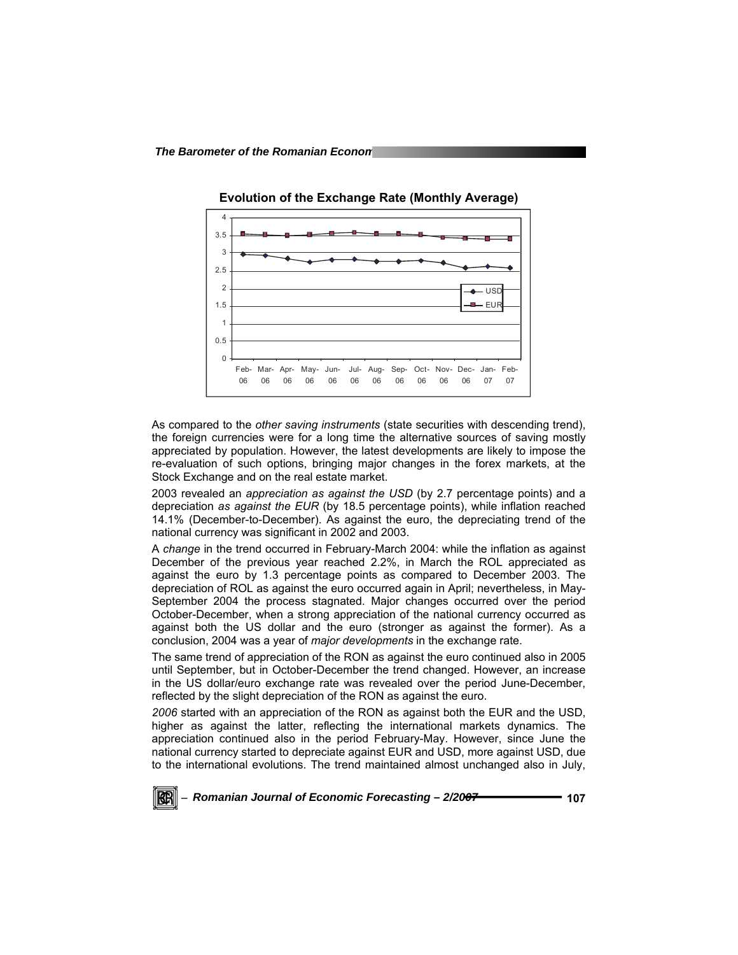

**Evolution of the Exchange Rate (Monthly Average)** 

As compared to the *other saving instruments* (state securities with descending trend), the foreign currencies were for a long time the alternative sources of saving mostly appreciated by population. However, the latest developments are likely to impose the re-evaluation of such options, bringing major changes in the forex markets, at the Stock Exchange and on the real estate market.

2003 revealed an *appreciation as against the USD* (by 2.7 percentage points) and a depreciation *as against the EUR* (by 18.5 percentage points), while inflation reached 14.1% (December-to-December). As against the euro, the depreciating trend of the national currency was significant in 2002 and 2003.

A *change* in the trend occurred in February-March 2004: while the inflation as against December of the previous year reached 2.2%, in March the ROL appreciated as against the euro by 1.3 percentage points as compared to December 2003. The depreciation of ROL as against the euro occurred again in April; nevertheless, in May-September 2004 the process stagnated. Major changes occurred over the period October-December, when a strong appreciation of the national currency occurred as against both the US dollar and the euro (stronger as against the former). As a conclusion, 2004 was a year of *major developments* in the exchange rate.

The same trend of appreciation of the RON as against the euro continued also in 2005 until September, but in October-December the trend changed. However, an increase in the US dollar/euro exchange rate was revealed over the period June-December, reflected by the slight depreciation of the RON as against the euro.

*2006* started with an appreciation of the RON as against both the EUR and the USD, higher as against the latter, reflecting the international markets dynamics. The appreciation continued also in the period February-May. However, since June the national currency started to depreciate against EUR and USD, more against USD, due to the international evolutions. The trend maintained almost unchanged also in July,

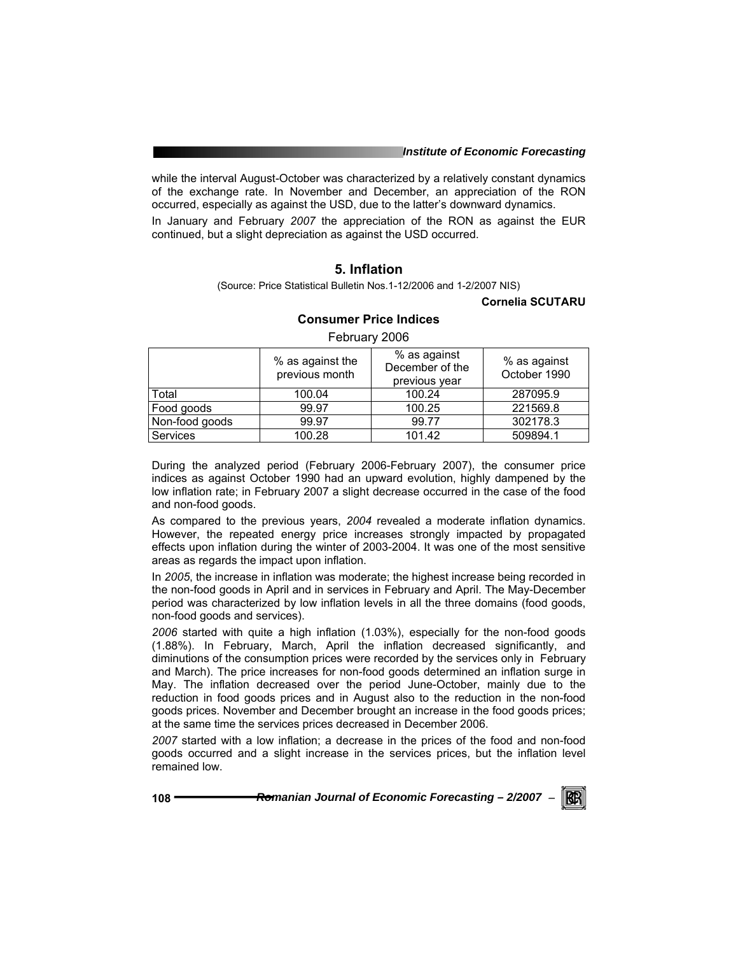while the interval August-October was characterized by a relatively constant dynamics of the exchange rate. In November and December, an appreciation of the RON occurred, especially as against the USD, due to the latter's downward dynamics.

In January and February *2007* the appreciation of the RON as against the EUR continued, but a slight depreciation as against the USD occurred.

# **5. Inflation**

(Source: Price Statistical Bulletin Nos.1-12/2006 and 1-2/2007 NIS)

#### **Cornelia SCUTARU**

|                 | % as against the<br>previous month | % as against<br>December of the<br>previous year | % as against<br>October 1990 |  |
|-----------------|------------------------------------|--------------------------------------------------|------------------------------|--|
| Total           | 100.04                             | 100.24                                           | 287095.9                     |  |
| Food goods      | 99.97                              | 100.25                                           | 221569.8                     |  |
| Non-food goods  | 99.97                              | 99.77                                            | 302178.3                     |  |
| <b>Services</b> | 100.28                             | 101.42                                           | 509894.1                     |  |

## **Consumer Price Indices**  February 2006

During the analyzed period (February 2006-February 2007), the consumer price indices as against October 1990 had an upward evolution, highly dampened by the low inflation rate; in February 2007 a slight decrease occurred in the case of the food and non-food goods.

As compared to the previous years, *2004* revealed a moderate inflation dynamics. However, the repeated energy price increases strongly impacted by propagated effects upon inflation during the winter of 2003-2004. It was one of the most sensitive areas as regards the impact upon inflation.

In *2005*, the increase in inflation was moderate; the highest increase being recorded in the non-food goods in April and in services in February and April. The May-December period was characterized by low inflation levels in all the three domains (food goods, non-food goods and services).

*2006* started with quite a high inflation (1.03%), especially for the non-food goods (1.88%). In February, March, April the inflation decreased significantly, and diminutions of the consumption prices were recorded by the services only in February and March). The price increases for non-food goods determined an inflation surge in May. The inflation decreased over the period June-October, mainly due to the reduction in food goods prices and in August also to the reduction in the non-food goods prices. November and December brought an increase in the food goods prices; at the same time the services prices decreased in December 2006.

*2007* started with a low inflation; a decrease in the prices of the food and non-food goods occurred and a slight increase in the services prices, but the inflation level remained low.

**108** *Romanian Journal of Economic Forecasting – 2/2007* <sup>−</sup>

 $\mathbb{R}$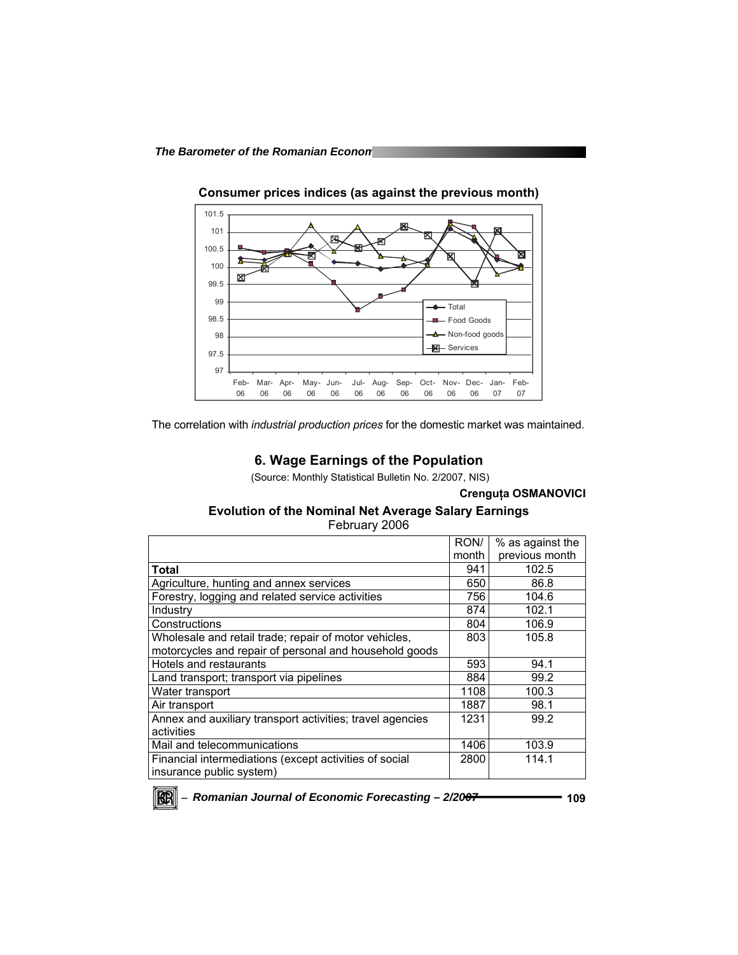

**Consumer prices indices (as against the previous month)** 

The correlation with *industrial production prices* for the domestic market was maintained.

# **6. Wage Earnings of the Population**

(Source: Monthly Statistical Bulletin No. 2/2007, NIS)

### **Crenguţa OSMANOVICI**

# **Evolution of the Nominal Net Average Salary Earnings**

February 2006

|                                                           | RON/  | % as against the |
|-----------------------------------------------------------|-------|------------------|
|                                                           | month | previous month   |
| Total                                                     | 941   | 102.5            |
| Agriculture, hunting and annex services                   | 650   | 86.8             |
| Forestry, logging and related service activities          | 756   | 104.6            |
| Industry                                                  | 874   | 102.1            |
| Constructions                                             | 804   | 106.9            |
| Wholesale and retail trade; repair of motor vehicles,     | 803   | 105.8            |
| motorcycles and repair of personal and household goods    |       |                  |
| Hotels and restaurants                                    | 593   | 94.1             |
| Land transport; transport via pipelines                   | 884   | 99.2             |
| Water transport                                           | 1108  | 100.3            |
| Air transport                                             | 1887  | 98.1             |
| Annex and auxiliary transport activities; travel agencies | 1231  | 99.2             |
| activities                                                |       |                  |
| Mail and telecommunications                               | 1406  | 103.9            |
| Financial intermediations (except activities of social    | 2800  | 114.1            |
| insurance public system)                                  |       |                  |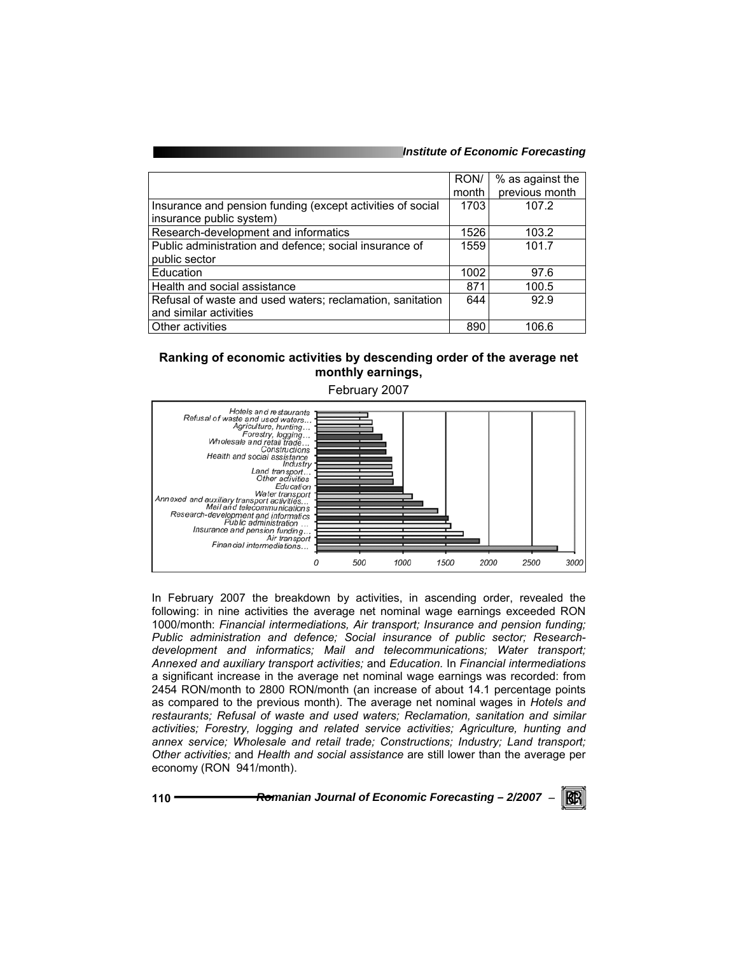#### *Institute of Economic Forecasting*

|                                                            | RON/  | % as against the |
|------------------------------------------------------------|-------|------------------|
|                                                            | month | previous month   |
| Insurance and pension funding (except activities of social | 1703  | 107.2            |
| insurance public system)                                   |       |                  |
| Research-development and informatics                       | 1526  | 103.2            |
| Public administration and defence; social insurance of     | 1559  | 101.7            |
| public sector                                              |       |                  |
| Education                                                  | 1002  | 97.6             |
| Health and social assistance                               | 871   | 100.5            |
| Refusal of waste and used waters; reclamation, sanitation  | 644   | 92.9             |
| and similar activities                                     |       |                  |
| <b>Other activities</b>                                    | 890   | 106.6            |

# **Ranking of economic activities by descending order of the average net monthly earnings,**



In February 2007 the breakdown by activities, in ascending order, revealed the following: in nine activities the average net nominal wage earnings exceeded RON 1000/month: *Financial intermediations, Air transport; Insurance and pension funding; Public administration and defence; Social insurance of public sector; Researchdevelopment and informatics; Mail and telecommunications; Water transport; Annexed and auxiliary transport activities;* and *Education.* In *Financial intermediations* a significant increase in the average net nominal wage earnings was recorded: from 2454 RON/month to 2800 RON/month (an increase of about 14.1 percentage points as compared to the previous month). The average net nominal wages in *Hotels and restaurants; Refusal of waste and used waters; Reclamation, sanitation and similar activities; Forestry, logging and related service activities; Agriculture, hunting and annex service; Wholesale and retail trade; Constructions; Industry; Land transport; Other activities;* and *Health and social assistance* are still lower than the average per economy (RON 941/month).

**110** *Romanian Journal of Economic Forecasting – 2/2007* <sup>−</sup>

KB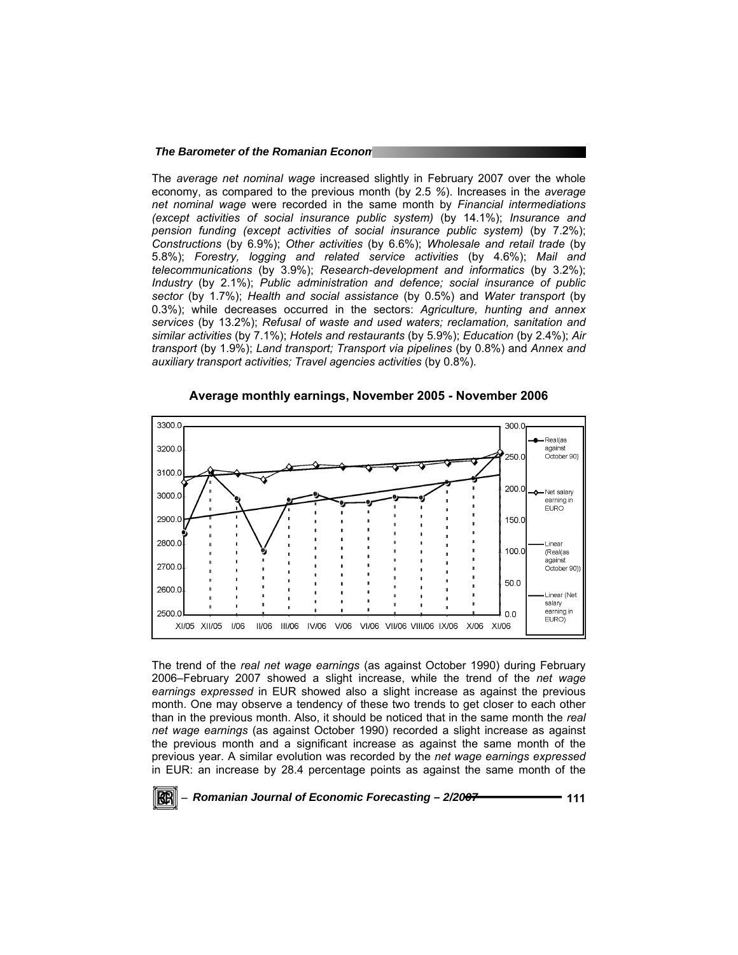#### **The Barometer of the Romanian Econon**

The *average net nominal wage* increased slightly in February 2007 over the whole economy, as compared to the previous month (by 2.5 *%*). Increases in the *average net nominal wage* were recorded in the same month by *Financial intermediations (except activities of social insurance public system)* (by 14.1%); *Insurance and pension funding (except activities of social insurance public system)* (by 7.2%); *Constructions* (by 6.9%); *Other activities* (by 6.6%); *Wholesale and retail trade* (by 5.8%); *Forestry, logging and related service activities* (by 4.6%); *Mail and telecommunications* (by 3.9%); *Research-development and informatics* (by 3.2%); *Industry* (by 2.1%); *Public administration and defence; social insurance of public sector* (by 1.7%); *Health and social assistance* (by 0.5%) and *Water transport* (by 0.3%); while decreases occurred in the sectors: *Agriculture, hunting and annex services* (by 13.2%); *Refusal of waste and used waters; reclamation, sanitation and similar activities* (by 7.1%); *Hotels and restaurants* (by 5.9%); *Education* (by 2.4%); *Air transport* (by 1.9%); *Land transport; Transport via pipelines* (by 0.8%) and *Annex and auxiliary transport activities; Travel agencies activities* (by 0.8%).



**Average monthly earnings, November 2005 - November 2006** 

The trend of the *real net wage earnings* (as against October 1990) during February 2006–February 2007 showed a slight increase, while the trend of the *net wage earnings expressed* in EUR showed also a slight increase as against the previous month. One may observe a tendency of these two trends to get closer to each other than in the previous month. Also, it should be noticed that in the same month the *real net wage earnings* (as against October 1990) recorded a slight increase as against the previous month and a significant increase as against the same month of the previous year. A similar evolution was recorded by the *net wage earnings expressed*  in EUR: an increase by 28.4 percentage points as against the same month of the

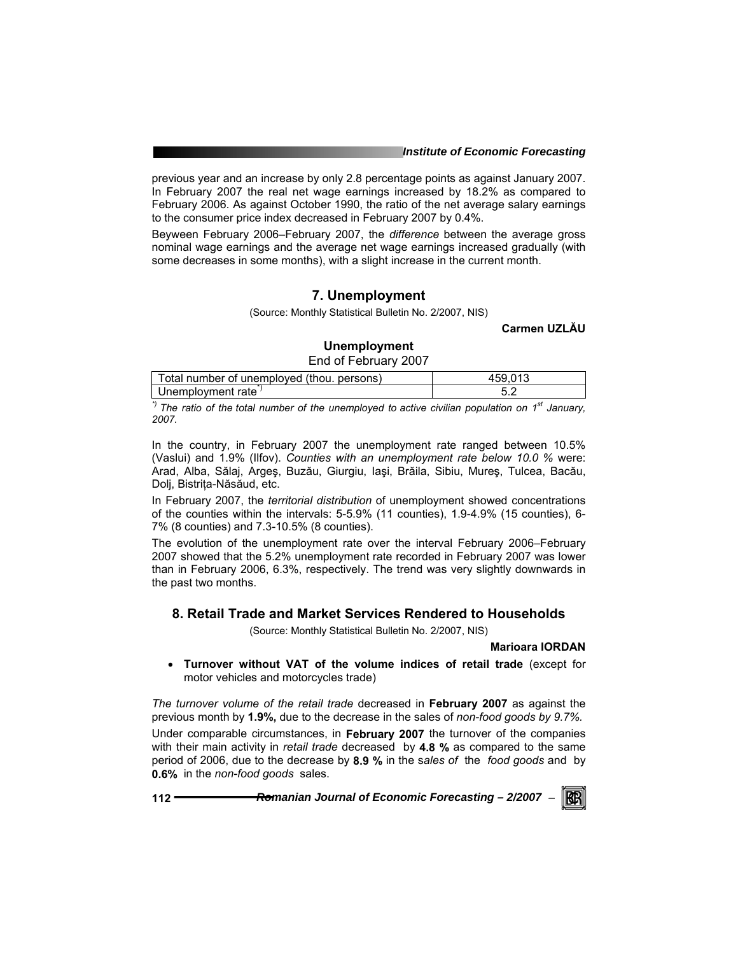previous year and an increase by only 2.8 percentage points as against January 2007. In February 2007 the real net wage earnings increased by 18.2% as compared to February 2006. As against October 1990, the ratio of the net average salary earnings to the consumer price index decreased in February 2007 by 0.4%.

Beyween February 2006–February 2007, the *difference* between the average gross nominal wage earnings and the average net wage earnings increased gradually (with some decreases in some months), with a slight increase in the current month.

# **7. Unemployment**

(Source: Monthly Statistical Bulletin No. 2/2007, NIS)

**Carmen UZLĂU**

## **Unemployment**

End of February 2007

| Total number of unemployed (thou. persons) | 459. |
|--------------------------------------------|------|
| Unemployment rate                          |      |

<sup>\*)</sup> The ratio of the total number of the unemployed to active civilian population on 1<sup>st</sup> January, *2007.* 

In the country, in February 2007 the unemployment rate ranged between 10.5% (Vaslui) and 1.9% (Ilfov). *Counties with an unemployment rate below 10.0 %* were: Arad, Alba, Sălaj, Argeş, Buzău, Giurgiu, Iaşi, Brăila, Sibiu, Mureş, Tulcea, Bacău, Dolj, Bistriţa-Năsăud, etc.

In February 2007, the *territorial distribution* of unemployment showed concentrations of the counties within the intervals: 5-5.9% (11 counties), 1.9-4.9% (15 counties), 6- 7% (8 counties) and 7.3-10.5% (8 counties).

The evolution of the unemployment rate over the interval February 2006–February 2007 showed that the 5.2% unemployment rate recorded in February 2007 was lower than in February 2006, 6.3%, respectively. The trend was very slightly downwards in the past two months.

# **8. Retail Trade and Market Services Rendered to Households**

(Source: Monthly Statistical Bulletin No. 2/2007, NIS)

## **Marioara IORDAN**

• **Turnover without VAT of the volume indices of retail trade** (except for motor vehicles and motorcycles trade)

*The turnover volume of the retail trade* decreased in **February 2007** as against the previous month by **1.9%,** due to the decrease in the sales of *non-food goods by 9.7%.* 

Under comparable circumstances, in **February 2007** the turnover of the companies with their main activity in *retail trade* decreased by **4.8 %** as compared to the same period of 2006, due to the decrease by **8.9 %** in the s*ales of* the *food goods* and by **0.6%** in the *non-food goods* sales.

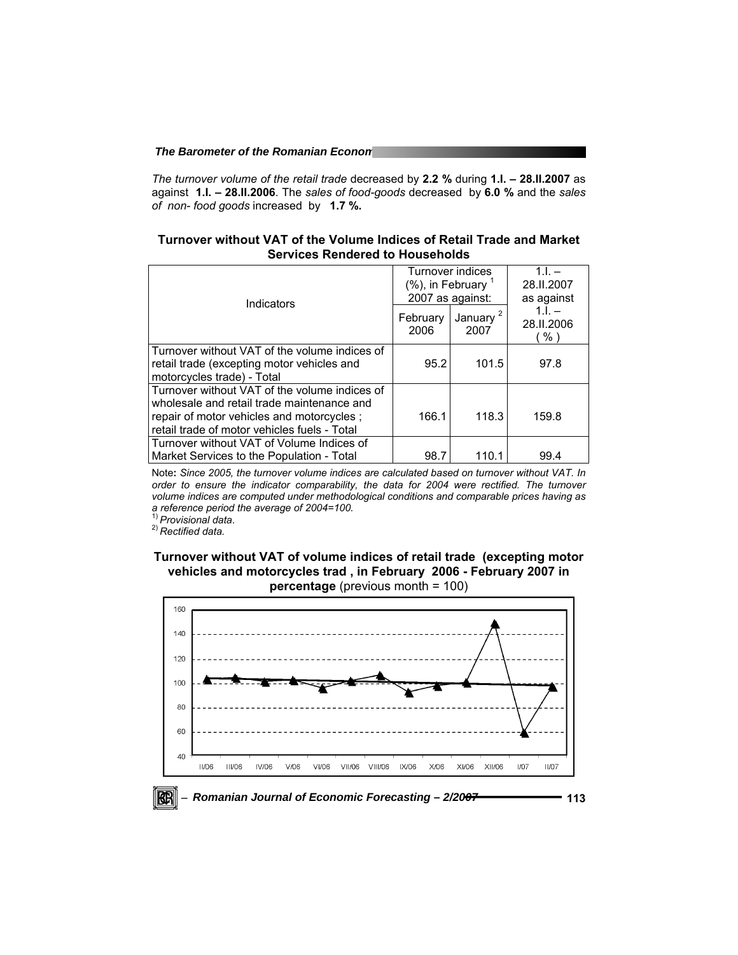*The turnover volume of the retail trade* decreased by **2.2 %** during **1.I. – 28.II.2007** as against **1.I. – 28.II.2006**. The *sales of food-goods* decreased by **6.0 %** and the *sales of non- food goods* increased by **1.7 %.** 

**Turnover without VAT of the Volume Indices of Retail Trade and Market Services Rendered to Households** 

| Indicators                                                                                                                                                                               | Turnover indices<br>(%), in February<br>2007 as against: |                              | $11 -$<br>28.II.2007<br>as against |
|------------------------------------------------------------------------------------------------------------------------------------------------------------------------------------------|----------------------------------------------------------|------------------------------|------------------------------------|
|                                                                                                                                                                                          | February<br>2006                                         | January <sup>2</sup><br>2007 | $11 -$<br>28.II.2006<br>% '        |
| Turnover without VAT of the volume indices of<br>retail trade (excepting motor vehicles and<br>motorcycles trade) - Total                                                                | 95.2                                                     | 101.5                        | 97.8                               |
| Turnover without VAT of the volume indices of<br>wholesale and retail trade maintenance and<br>repair of motor vehicles and motorcycles;<br>retail trade of motor vehicles fuels - Total | 166.1                                                    | 118.3                        | 159.8                              |
| Turnover without VAT of Volume Indices of<br>Market Services to the Population - Total                                                                                                   | 98.7                                                     | 110.1                        | 99.4                               |

Note**:** *Since 2005, the turnover volume indices are calculated based on turnover without VAT. In order to ensure the indicator comparability, the data for 2004 were rectified. The turnover volume indices are computed under methodological conditions and comparable prices having as a reference period the average of 2004=100.*

1) *Provisional data*. 2) *Rectified data.* 

**Turnover without VAT of volume indices of retail trade (excepting motor vehicles and motorcycles trad , in February 2006 - February 2007 in** 

**percentage** (previous month = 100)

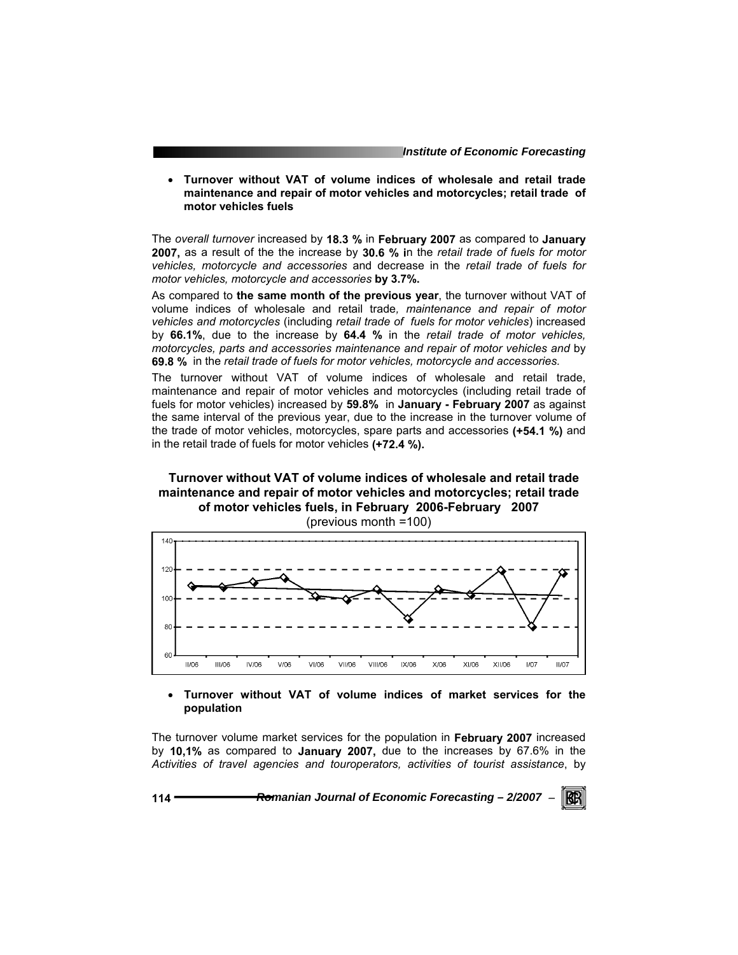• **Turnover without VAT of volume indices of wholesale and retail trade maintenance and repair of motor vehicles and motorcycles; retail trade of motor vehicles fuels** 

The *overall turnover* increased by **18.3 %** in **February 2007** as compared to **January 2007,** as a result of the the increase by **30.6 % i**n the *retail trade of fuels for motor vehicles, motorcycle and accessories* and decrease in the *retail trade of fuels for motor vehicles, motorcycle and accessories* **by 3.7%.** 

As compared to **the same month of the previous year**, the turnover without VAT of volume indices of wholesale and retail trade*, maintenance and repair of motor vehicles and motorcycles* (including *retail trade of fuels for motor vehicles*) increased by **66.1%**, due to the increase by **64.4 %** in the *retail trade of motor vehicles, motorcycles, parts and accessories maintenance and repair of motor vehicles and* by **69.8 %** in the *retail trade of fuels for motor vehicles, motorcycle and accessories.* 

The turnover without VAT of volume indices of wholesale and retail trade, maintenance and repair of motor vehicles and motorcycles (including retail trade of fuels for motor vehicles) increased by **59.8%** in **January - February 2007** as against the same interval of the previous year, due to the increase in the turnover volume of the trade of motor vehicles, motorcycles, spare parts and accessories **(+54.1 %)** and in the retail trade of fuels for motor vehicles **(+72.4 %).**

## **Turnover without VAT of volume indices of wholesale and retail trade maintenance and repair of motor vehicles and motorcycles; retail trade of motor vehicles fuels, in February 2006-February 2007**  (previous month =100)



### • **Turnover without VAT of volume indices of market services for the population**

The turnover volume market services for the population in **February 2007** increased by **10,1%** as compared to **January 2007,** due to the increases by 67.6% in the *Activities of travel agencies and touroperators, activities of tourist assistance*, by

**114** *Romanian Journal of Economic Forecasting – 2/2007* <sup>−</sup>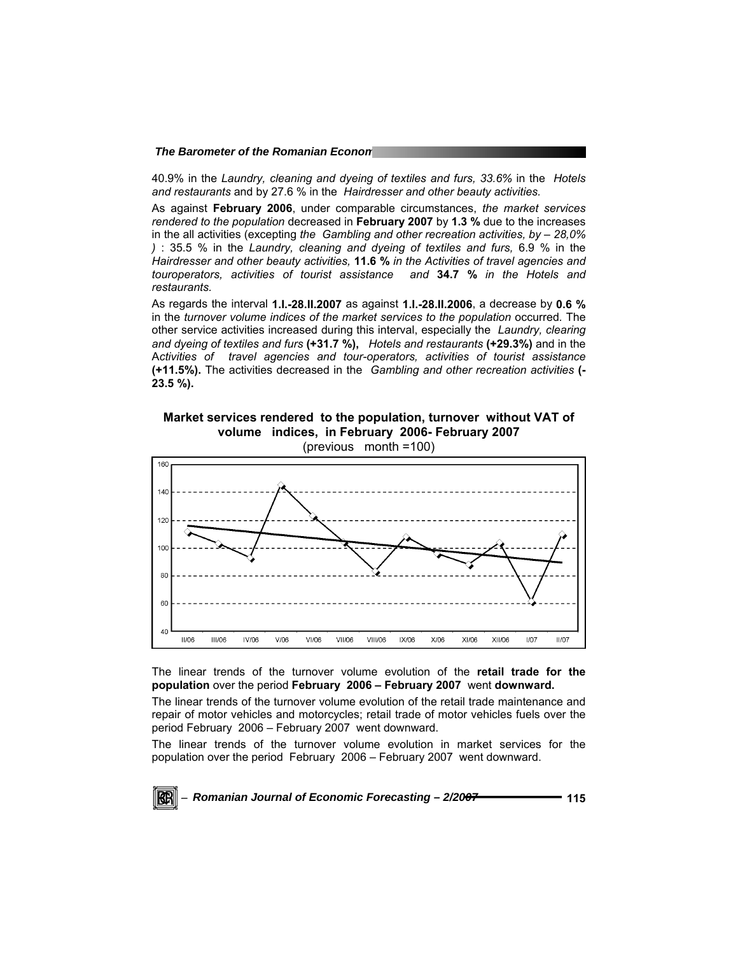40.9% in the *Laundry, cleaning and dyeing of textiles and furs, 33.6%* in the *Hotels and restaurants* and by 27.6 % in the *Hairdresser and other beauty activities.* 

As against **February 2006**, under comparable circumstances, *the market services rendered to the population* decreased in **February 2007** by **1.3 %** due to the increases in the all activities (excepting *the Gambling and other recreation activities, by – 28,0% )* : 35.5 % in the *Laundry, cleaning and dyeing of textiles and furs,* 6.9 % in the *Hairdresser and other beauty activities,* **11.6 %** *in the Activities of travel agencies and touroperators, activities of tourist assistance and* **34.7 %** *in the Hotels and restaurants.* 

As regards the interval **1.I.-28.II.2007** as against **1.I.-28.II.2006**, a decrease by **0.6 %** in the *turnover volume indices of the market services to the population occurred.* The other service activities increased during this interval, especially the *Laundry, clearing and dyeing of textiles and furs* **(+31.7 %),** *Hotels and restaurants* **(+29.3%)** and in the A*ctivities of travel agencies and tour-operators, activities of tourist assistance*  **(+11.5%).** The activities decreased in the*Gambling and other recreation activities* **(- 23.5 %).** 

**Market services rendered to the population, turnover without VAT of volume indices, in February 2006- February 2007** 



The linear trends of the turnover volume evolution of the **retail trade for the population** over the period **February 2006 – February 2007** went **downward.** 

The linear trends of the turnover volume evolution of the retail trade maintenance and repair of motor vehicles and motorcycles; retail trade of motor vehicles fuels over the period February 2006 – February 2007 went downward.

The linear trends of the turnover volume evolution in market services for the population over the period February 2006 – February 2007 went downward.

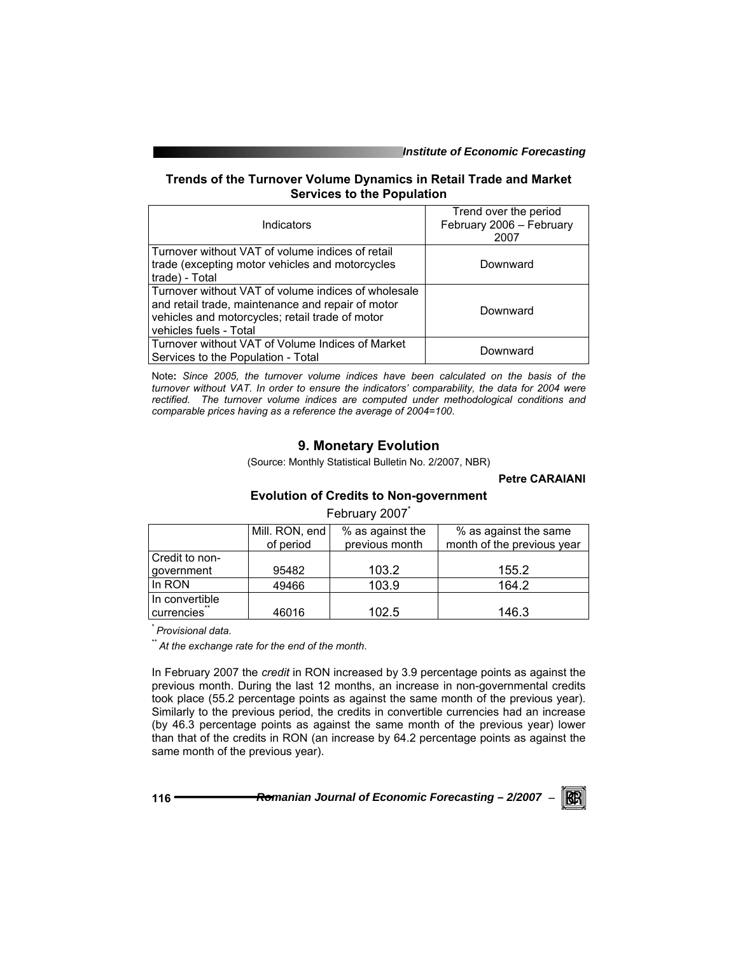*Institute of Economic Forecasting*

## **Trends of the Turnover Volume Dynamics in Retail Trade and Market Services to the Population**

| Indicators                                                                                                                                                                            | Trend over the period<br>February 2006 - February<br>2007 |
|---------------------------------------------------------------------------------------------------------------------------------------------------------------------------------------|-----------------------------------------------------------|
| Turnover without VAT of volume indices of retail<br>trade (excepting motor vehicles and motorcycles<br>I trade) - Totall                                                              | Downward                                                  |
| Turnover without VAT of volume indices of wholesale<br>and retail trade, maintenance and repair of motor<br>vehicles and motorcycles; retail trade of motor<br>vehicles fuels - Total | Downward                                                  |
| Turnover without VAT of Volume Indices of Market<br>Services to the Population - Total                                                                                                | Downward                                                  |

Note**:** *Since 2005, the turnover volume indices have been calculated on the basis of the turnover without VAT. In order to ensure the indicators' comparability, the data for 2004 were rectified. The turnover volume indices are computed under methodological conditions and comparable prices having as a reference the average of 2004=100*.

# **9. Monetary Evolution**

(Source: Monthly Statistical Bulletin No. 2/2007, NBR)

**Petre CARAIANI** 

# **Evolution of Credits to Non-government**

February 2007<sup>\*</sup>

|                | Mill. RON, end<br>of period | % as against the<br>previous month | % as against the same<br>month of the previous year |
|----------------|-----------------------------|------------------------------------|-----------------------------------------------------|
| Credit to non- |                             |                                    |                                                     |
| government     | 95482                       | 103.2                              | 155.2                                               |
| In RON         | 49466                       | 103.9                              | 164.2                                               |
| In convertible |                             |                                    |                                                     |
| currencies     | 46016                       | 102.5                              | 146.3                                               |

\* *Provisional data.* 

\*\* *At the exchange rate for the end of the month*.

In February 2007 the *credit* in RON increased by 3.9 percentage points as against the previous month. During the last 12 months, an increase in non-governmental credits took place (55.2 percentage points as against the same month of the previous year). Similarly to the previous period, the credits in convertible currencies had an increase (by 46.3 percentage points as against the same month of the previous year) lower than that of the credits in RON (an increase by 64.2 percentage points as against the same month of the previous year).